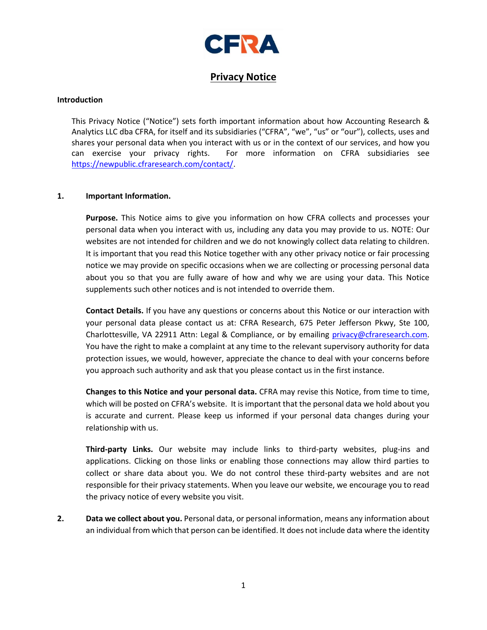

# **Privacy Notice**

#### **Introduction**

This Privacy Notice ("Notice") sets forth important information about how Accounting Research & Analytics LLC dba CFRA, for itself and its subsidiaries ("CFRA", "we", "us" or "our"), collects, uses and shares your personal data when you interact with us or in the context of our services, and how you can exercise your privacy rights. For more information on CFRA subsidiaries see [https://newpublic.cfraresearch.com/contact/.](https://newpublic.cfraresearch.com/contact/)

## **1. Important Information.**

**Purpose.** This Notice aims to give you information on how CFRA collects and processes your personal data when you interact with us, including any data you may provide to us. NOTE: Our websites are not intended for children and we do not knowingly collect data relating to children. It is important that you read this Notice together with any other privacy notice or fair processing notice we may provide on specific occasions when we are collecting or processing personal data about you so that you are fully aware of how and why we are using your data. This Notice supplements such other notices and is not intended to override them.

**Contact Details.** If you have any questions or concerns about this Notice or our interaction with your personal data please contact us at: CFRA Research, 675 Peter Jefferson Pkwy, Ste 100, Charlottesville, VA 22911 Attn: Legal & Compliance, or by emailing [privacy@cfraresearch.com.](mailto:privacy@cfraresearch.com) You have the right to make a complaint at any time to the relevant supervisory authority for data protection issues, we would, however, appreciate the chance to deal with your concerns before you approach such authority and ask that you please contact us in the first instance.

**Changes to this Notice and your personal data.** CFRA may revise this Notice, from time to time, which will be posted on CFRA's website. It is important that the personal data we hold about you is accurate and current. Please keep us informed if your personal data changes during your relationship with us.

**Third-party Links.** Our website may include links to third-party websites, plug-ins and applications. Clicking on those links or enabling those connections may allow third parties to collect or share data about you. We do not control these third-party websites and are not responsible for their privacy statements. When you leave our website, we encourage you to read the privacy notice of every website you visit.

**2. Data we collect about you.** Personal data, or personal information, means any information about an individual from which that person can be identified. It does not include data where the identity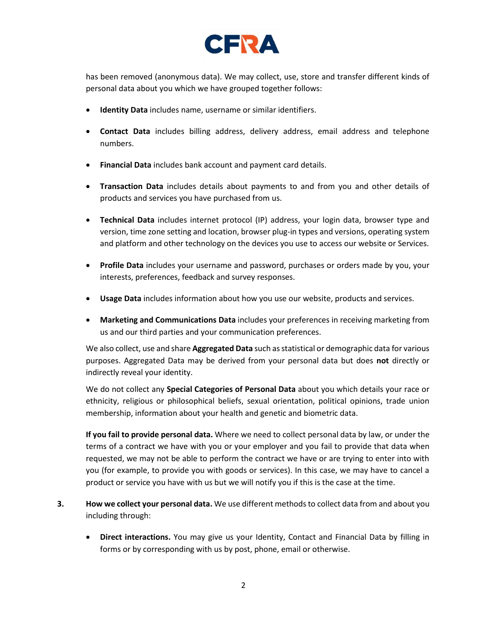

has been removed (anonymous data). We may collect, use, store and transfer different kinds of personal data about you which we have grouped together follows:

- **Identity Data** includes name, username or similar identifiers.
- **Contact Data** includes billing address, delivery address, email address and telephone numbers.
- **Financial Data** includes bank account and payment card details.
- **Transaction Data** includes details about payments to and from you and other details of products and services you have purchased from us.
- **Technical Data** includes internet protocol (IP) address, your login data, browser type and version, time zone setting and location, browser plug-in types and versions, operating system and platform and other technology on the devices you use to access our website or Services.
- **Profile Data** includes your username and password, purchases or orders made by you, your interests, preferences, feedback and survey responses.
- **Usage Data** includes information about how you use our website, products and services.
- **Marketing and Communications Data** includes your preferences in receiving marketing from us and our third parties and your communication preferences.

We also collect, use and share **Aggregated Data** such as statistical or demographic data for various purposes. Aggregated Data may be derived from your personal data but does **not** directly or indirectly reveal your identity.

We do not collect any **Special Categories of Personal Data** about you which details your race or ethnicity, religious or philosophical beliefs, sexual orientation, political opinions, trade union membership, information about your health and genetic and biometric data.

**If you fail to provide personal data.** Where we need to collect personal data by law, or under the terms of a contract we have with you or your employer and you fail to provide that data when requested, we may not be able to perform the contract we have or are trying to enter into with you (for example, to provide you with goods or services). In this case, we may have to cancel a product or service you have with us but we will notify you if this is the case at the time.

- **3. How we collect your personal data.** We use different methods to collect data from and about you including through:
	- **Direct interactions.** You may give us your Identity, Contact and Financial Data by filling in forms or by corresponding with us by post, phone, email or otherwise.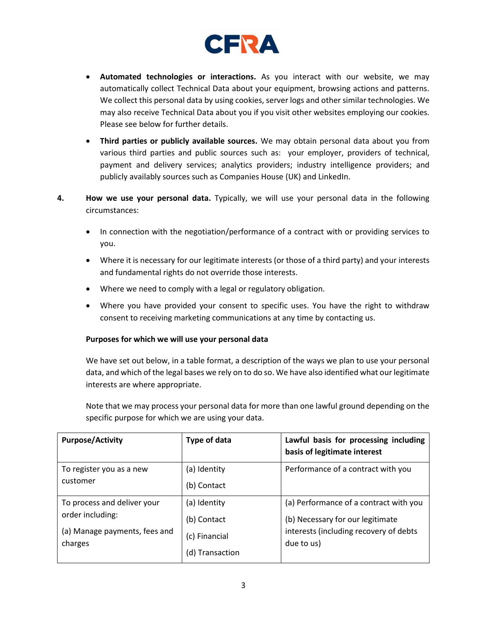

- **Automated technologies or interactions.** As you interact with our website, we may automatically collect Technical Data about your equipment, browsing actions and patterns. We collect this personal data by using cookies, server logs and other similar technologies. We may also receive Technical Data about you if you visit other websites employing our cookies. Please see below for further details.
- **Third parties or publicly available sources.** We may obtain personal data about you from various third parties and public sources such as: your employer, providers of technical, payment and delivery services; analytics providers; industry intelligence providers; and publicly availably sources such as Companies House (UK) and LinkedIn.
- **4. How we use your personal data.** Typically, we will use your personal data in the following circumstances:
	- In connection with the negotiation/performance of a contract with or providing services to you.
	- Where it is necessary for our legitimate interests (or those of a third party) and your interests and fundamental rights do not override those interests.
	- Where we need to comply with a legal or regulatory obligation.
	- Where you have provided your consent to specific uses. You have the right to withdraw consent to receiving marketing communications at any time by contacting us.

# **Purposes for which we will use your personal data**

We have set out below, in a table format, a description of the ways we plan to use your personal data, and which of the legal bases we rely on to do so. We have also identified what our legitimate interests are where appropriate.

Note that we may process your personal data for more than one lawful ground depending on the specific purpose for which we are using your data.

| <b>Purpose/Activity</b>                                                                     | <b>Type of data</b>                                             | Lawful basis for processing including<br>basis of legitimate interest                                                              |
|---------------------------------------------------------------------------------------------|-----------------------------------------------------------------|------------------------------------------------------------------------------------------------------------------------------------|
| To register you as a new<br>customer                                                        | (a) Identity<br>(b) Contact                                     | Performance of a contract with you                                                                                                 |
| To process and deliver your<br>order including:<br>(a) Manage payments, fees and<br>charges | (a) Identity<br>(b) Contact<br>(c) Financial<br>(d) Transaction | (a) Performance of a contract with you<br>(b) Necessary for our legitimate<br>interests (including recovery of debts<br>due to us) |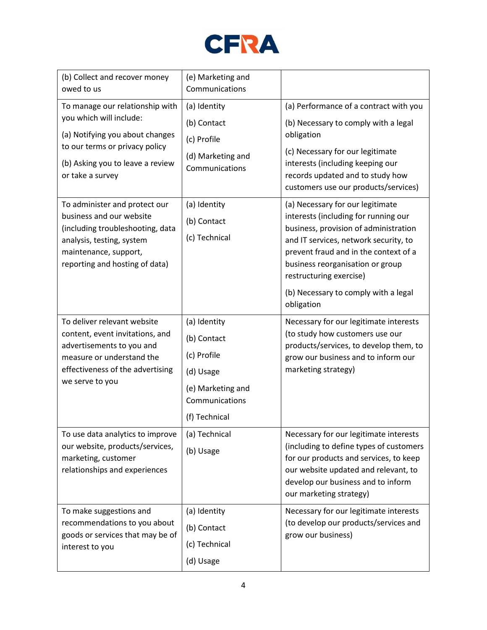

| (b) Collect and recover money<br>owed to us                                                                                                                                             | (e) Marketing and<br>Communications                                                                             |                                                                                                                                                                                                                                                                                                                          |
|-----------------------------------------------------------------------------------------------------------------------------------------------------------------------------------------|-----------------------------------------------------------------------------------------------------------------|--------------------------------------------------------------------------------------------------------------------------------------------------------------------------------------------------------------------------------------------------------------------------------------------------------------------------|
| To manage our relationship with<br>you which will include:<br>(a) Notifying you about changes<br>to our terms or privacy policy<br>(b) Asking you to leave a review<br>or take a survey | (a) Identity<br>(b) Contact<br>(c) Profile<br>(d) Marketing and<br>Communications                               | (a) Performance of a contract with you<br>(b) Necessary to comply with a legal<br>obligation<br>(c) Necessary for our legitimate<br>interests (including keeping our<br>records updated and to study how<br>customers use our products/services)                                                                         |
| To administer and protect our<br>business and our website<br>(including troubleshooting, data<br>analysis, testing, system<br>maintenance, support,<br>reporting and hosting of data)   | (a) Identity<br>(b) Contact<br>(c) Technical                                                                    | (a) Necessary for our legitimate<br>interests (including for running our<br>business, provision of administration<br>and IT services, network security, to<br>prevent fraud and in the context of a<br>business reorganisation or group<br>restructuring exercise)<br>(b) Necessary to comply with a legal<br>obligation |
| To deliver relevant website<br>content, event invitations, and<br>advertisements to you and<br>measure or understand the<br>effectiveness of the advertising<br>we serve to you         | (a) Identity<br>(b) Contact<br>(c) Profile<br>(d) Usage<br>(e) Marketing and<br>Communications<br>(f) Technical | Necessary for our legitimate interests<br>(to study how customers use our<br>products/services, to develop them, to<br>grow our business and to inform our<br>marketing strategy)                                                                                                                                        |
| To use data analytics to improve<br>our website, products/services,<br>marketing, customer<br>relationships and experiences                                                             | (a) Technical<br>(b) Usage                                                                                      | Necessary for our legitimate interests<br>(including to define types of customers<br>for our products and services, to keep<br>our website updated and relevant, to<br>develop our business and to inform<br>our marketing strategy)                                                                                     |
| To make suggestions and<br>recommendations to you about<br>goods or services that may be of<br>interest to you                                                                          | (a) Identity<br>(b) Contact<br>(c) Technical<br>(d) Usage                                                       | Necessary for our legitimate interests<br>(to develop our products/services and<br>grow our business)                                                                                                                                                                                                                    |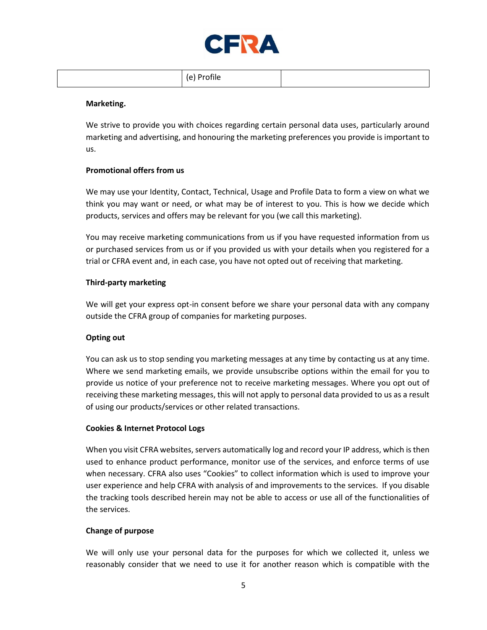

|  | ____ |  |
|--|------|--|
|--|------|--|

#### **Marketing.**

We strive to provide you with choices regarding certain personal data uses, particularly around marketing and advertising, and honouring the marketing preferences you provide is important to us.

# **Promotional offers from us**

We may use your Identity, Contact, Technical, Usage and Profile Data to form a view on what we think you may want or need, or what may be of interest to you. This is how we decide which products, services and offers may be relevant for you (we call this marketing).

You may receive marketing communications from us if you have requested information from us or purchased services from us or if you provided us with your details when you registered for a trial or CFRA event and, in each case, you have not opted out of receiving that marketing.

## **Third-party marketing**

We will get your express opt-in consent before we share your personal data with any company outside the CFRA group of companies for marketing purposes.

# **Opting out**

You can ask us to stop sending you marketing messages at any time by contacting us at any time. Where we send marketing emails, we provide unsubscribe options within the email for you to provide us notice of your preference not to receive marketing messages. Where you opt out of receiving these marketing messages, this will not apply to personal data provided to us as a result of using our products/services or other related transactions.

#### **Cookies & Internet Protocol Logs**

When you visit CFRA websites, servers automatically log and record your IP address, which is then used to enhance product performance, monitor use of the services, and enforce terms of use when necessary. CFRA also uses "Cookies" to collect information which is used to improve your user experience and help CFRA with analysis of and improvements to the services. If you disable the tracking tools described herein may not be able to access or use all of the functionalities of the services.

#### **Change of purpose**

We will only use your personal data for the purposes for which we collected it, unless we reasonably consider that we need to use it for another reason which is compatible with the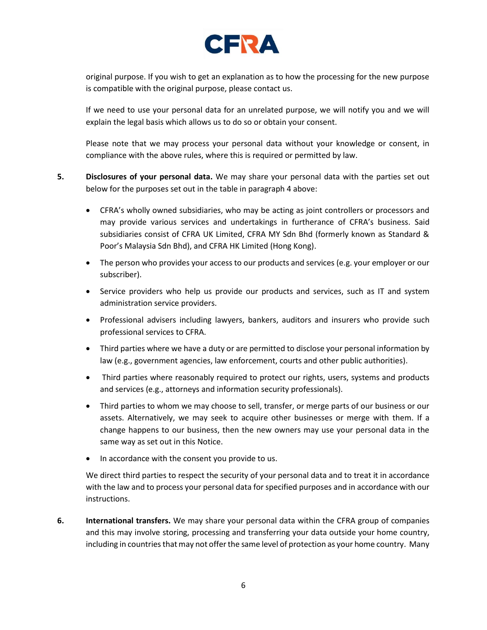

original purpose. If you wish to get an explanation as to how the processing for the new purpose is compatible with the original purpose, please contact us.

If we need to use your personal data for an unrelated purpose, we will notify you and we will explain the legal basis which allows us to do so or obtain your consent.

Please note that we may process your personal data without your knowledge or consent, in compliance with the above rules, where this is required or permitted by law.

- **5. Disclosures of your personal data.** We may share your personal data with the parties set out below for the purposes set out in the table in paragraph 4 above:
	- CFRA's wholly owned subsidiaries, who may be acting as joint controllers or processors and may provide various services and undertakings in furtherance of CFRA's business. Said subsidiaries consist of CFRA UK Limited, CFRA MY Sdn Bhd (formerly known as Standard & Poor's Malaysia Sdn Bhd), and CFRA HK Limited (Hong Kong).
	- The person who provides your access to our products and services (e.g. your employer or our subscriber).
	- Service providers who help us provide our products and services, such as IT and system administration service providers.
	- Professional advisers including lawyers, bankers, auditors and insurers who provide such professional services to CFRA.
	- Third parties where we have a duty or are permitted to disclose your personal information by law (e.g., government agencies, law enforcement, courts and other public authorities).
	- Third parties where reasonably required to protect our rights, users, systems and products and services (e.g., attorneys and information security professionals).
	- Third parties to whom we may choose to sell, transfer, or merge parts of our business or our assets. Alternatively, we may seek to acquire other businesses or merge with them. If a change happens to our business, then the new owners may use your personal data in the same way as set out in this Notice.
	- In accordance with the consent you provide to us.

We direct third parties to respect the security of your personal data and to treat it in accordance with the law and to process your personal data for specified purposes and in accordance with our instructions.

**6. International transfers.** We may share your personal data within the CFRA group of companies and this may involve storing, processing and transferring your data outside your home country, including in countries that may not offer the same level of protection as your home country. Many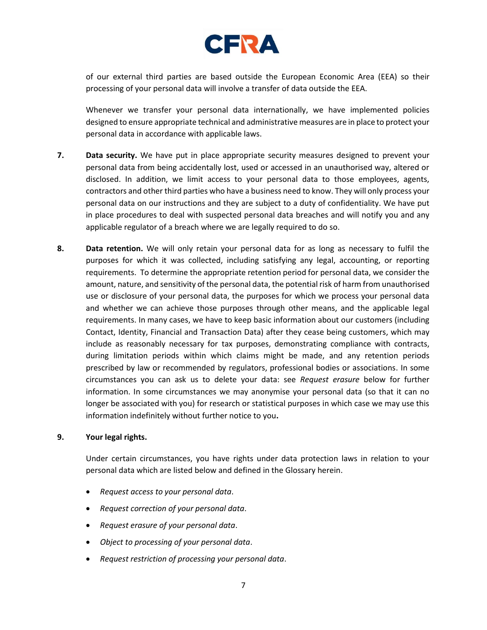

of our external third parties are based outside the European Economic Area (EEA) so their processing of your personal data will involve a transfer of data outside the EEA.

Whenever we transfer your personal data internationally, we have implemented policies designed to ensure appropriate technical and administrative measures are in place to protect your personal data in accordance with applicable laws.

- **7. Data security.** We have put in place appropriate security measures designed to prevent your personal data from being accidentally lost, used or accessed in an unauthorised way, altered or disclosed. In addition, we limit access to your personal data to those employees, agents, contractors and other third parties who have a business need to know. They will only process your personal data on our instructions and they are subject to a duty of confidentiality. We have put in place procedures to deal with suspected personal data breaches and will notify you and any applicable regulator of a breach where we are legally required to do so.
- **8. Data retention.** We will only retain your personal data for as long as necessary to fulfil the purposes for which it was collected, including satisfying any legal, accounting, or reporting requirements. To determine the appropriate retention period for personal data, we consider the amount, nature, and sensitivity of the personal data, the potential risk of harm from unauthorised use or disclosure of your personal data, the purposes for which we process your personal data and whether we can achieve those purposes through other means, and the applicable legal requirements. In many cases, we have to keep basic information about our customers (including Contact, Identity, Financial and Transaction Data) after they cease being customers, which may include as reasonably necessary for tax purposes, demonstrating compliance with contracts, during limitation periods within which claims might be made, and any retention periods prescribed by law or recommended by regulators, professional bodies or associations. In some circumstances you can ask us to delete your data: see *Request erasure* below for further information. In some circumstances we may anonymise your personal data (so that it can no longer be associated with you) for research or statistical purposes in which case we may use this information indefinitely without further notice to you**.**

#### **9. Your legal rights.**

Under certain circumstances, you have rights under data protection laws in relation to your personal data which are listed below and defined in the Glossary herein.

- *Request access to your personal data*.
- *Request correction of your personal data*.
- *Request erasure of your personal data*.
- *Object to processing of your personal data*.
- *Request restriction of processing your personal data*.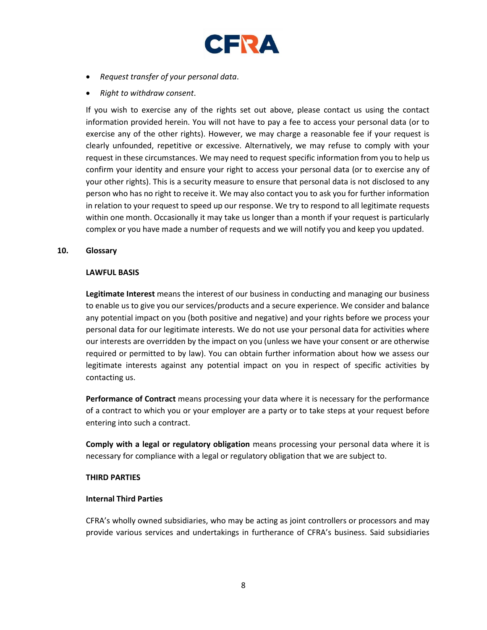

- *Request transfer of your personal data*.
- *Right to withdraw consent*.

If you wish to exercise any of the rights set out above, please contact us using the contact information provided herein. You will not have to pay a fee to access your personal data (or to exercise any of the other rights). However, we may charge a reasonable fee if your request is clearly unfounded, repetitive or excessive. Alternatively, we may refuse to comply with your request in these circumstances. We may need to request specific information from you to help us confirm your identity and ensure your right to access your personal data (or to exercise any of your other rights). This is a security measure to ensure that personal data is not disclosed to any person who has no right to receive it. We may also contact you to ask you for further information in relation to your request to speed up our response. We try to respond to all legitimate requests within one month. Occasionally it may take us longer than a month if your request is particularly complex or you have made a number of requests and we will notify you and keep you updated.

## **10. Glossary**

## **LAWFUL BASIS**

**Legitimate Interest** means the interest of our business in conducting and managing our business to enable us to give you our services/products and a secure experience. We consider and balance any potential impact on you (both positive and negative) and your rights before we process your personal data for our legitimate interests. We do not use your personal data for activities where our interests are overridden by the impact on you (unless we have your consent or are otherwise required or permitted to by law). You can obtain further information about how we assess our legitimate interests against any potential impact on you in respect of specific activities by contacting us.

**Performance of Contract** means processing your data where it is necessary for the performance of a contract to which you or your employer are a party or to take steps at your request before entering into such a contract.

**Comply with a legal or regulatory obligation** means processing your personal data where it is necessary for compliance with a legal or regulatory obligation that we are subject to.

#### **THIRD PARTIES**

# **Internal Third Parties**

CFRA's wholly owned subsidiaries, who may be acting as joint controllers or processors and may provide various services and undertakings in furtherance of CFRA's business. Said subsidiaries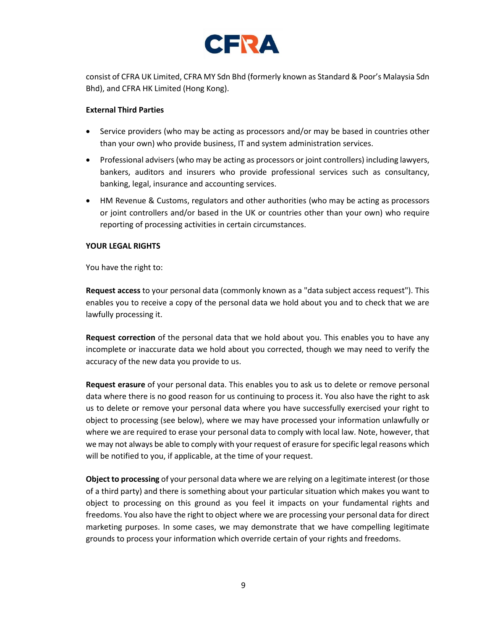

consist of CFRA UK Limited, CFRA MY Sdn Bhd (formerly known as Standard & Poor's Malaysia Sdn Bhd), and CFRA HK Limited (Hong Kong).

# **External Third Parties**

- Service providers (who may be acting as processors and/or may be based in countries other than your own) who provide business, IT and system administration services.
- Professional advisers (who may be acting as processors or joint controllers) including lawyers, bankers, auditors and insurers who provide professional services such as consultancy, banking, legal, insurance and accounting services.
- HM Revenue & Customs, regulators and other authorities (who may be acting as processors or joint controllers and/or based in the UK or countries other than your own) who require reporting of processing activities in certain circumstances.

# **YOUR LEGAL RIGHTS**

You have the right to:

**Request access** to your personal data (commonly known as a "data subject access request"). This enables you to receive a copy of the personal data we hold about you and to check that we are lawfully processing it.

**Request correction** of the personal data that we hold about you. This enables you to have any incomplete or inaccurate data we hold about you corrected, though we may need to verify the accuracy of the new data you provide to us.

**Request erasure** of your personal data. This enables you to ask us to delete or remove personal data where there is no good reason for us continuing to process it. You also have the right to ask us to delete or remove your personal data where you have successfully exercised your right to object to processing (see below), where we may have processed your information unlawfully or where we are required to erase your personal data to comply with local law. Note, however, that we may not always be able to comply with your request of erasure for specific legal reasons which will be notified to you, if applicable, at the time of your request.

**Object to processing** of your personal data where we are relying on a legitimate interest (or those of a third party) and there is something about your particular situation which makes you want to object to processing on this ground as you feel it impacts on your fundamental rights and freedoms. You also have the right to object where we are processing your personal data for direct marketing purposes. In some cases, we may demonstrate that we have compelling legitimate grounds to process your information which override certain of your rights and freedoms.